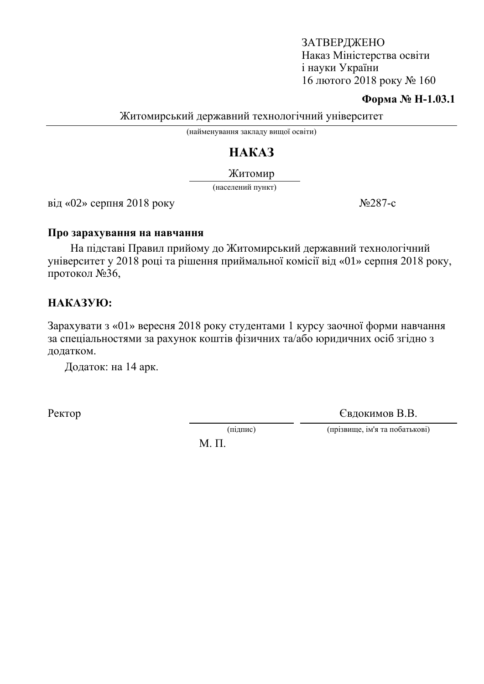#### **Форма № Н-1.03.1**

Житомирський державний технологічний університет

(найменування закладу вищої освіти)

# HAKA3

Житомир

(населений пункт)

 $\overline{B}$ ид «02» серпня 2018 року  $N_{2}$ 287-с

#### Про зарахування на навчання

На підставі Правил прийому до Житомирський державний технологічний університет у 2018 році та рішення приймальної комісії від «01» серпня 2018 року, протокол  $N<sub>2</sub>36$ ,

## HAKA3YIO:

Зарахувати з «01» вересня 2018 року студентами 1 курсу заочної форми навчання за спеціальностями за рахунок коштів фізичних та/або юридичних осіб згідно з додатком.

Додаток: на 14 арк.

Ректор Свдокимов В.В.

(підпис) (прізвище, ім'я та побатькові)

 $M$ .  $\Pi$ .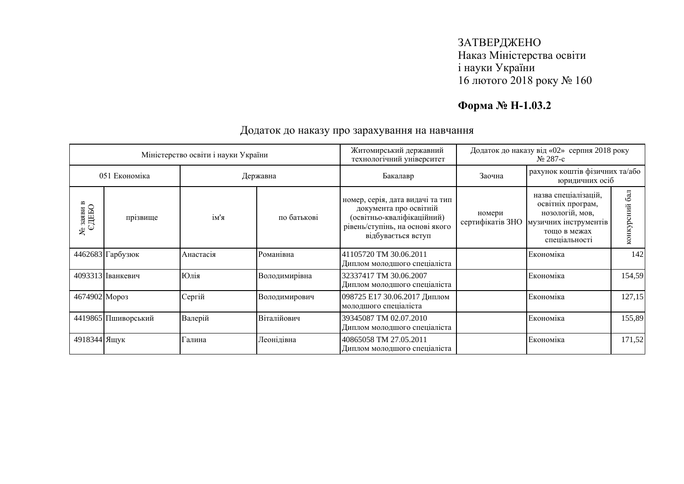## **Форма № Н-1.03.2**

|                           |                     | Міністерство освіти і науки України |               | Житомирський державний<br>технологічний університет                                                                                               | Додаток до наказу від «02» серпня 2018 року<br>No 287-c |                                                                                                                        |                  |
|---------------------------|---------------------|-------------------------------------|---------------|---------------------------------------------------------------------------------------------------------------------------------------------------|---------------------------------------------------------|------------------------------------------------------------------------------------------------------------------------|------------------|
| 051 Економіка<br>Державна |                     | Бакалавр                            | Заочна        | рахунок коштів фізичних та/або<br>юридичних осіб                                                                                                  |                                                         |                                                                                                                        |                  |
| © заяви в<br>СДЕБО<br>ఞ   | прізвище            | ім'я                                | по батькові   | номер, серія, дата видачі та тип<br>документа про освітній<br>(освітньо-кваліфікаційний)<br>рівень/ступінь, на основі якого<br>відбувається вступ | номери<br>сертифікатів ЗНО                              | назва спеціалізацій,<br>освітніх програм,<br>нозологій, мов,<br>музичних інструментів<br>тощо в межах<br>спеціальності | 6a<br>конкурсний |
|                           | 4462683 Гарбузюк    | Анастасія                           | Романівна     | 41105720 TM 30.06.2011<br>Диплом молодшого спеціаліста                                                                                            |                                                         | Економіка                                                                                                              | 142              |
|                           | 4093313 Іванкевич   | Юлія                                | Володимирівна | 32337417 TM 30.06.2007<br>Диплом молодшого спеціаліста                                                                                            |                                                         | Економіка                                                                                                              | 154,59           |
| 4674902 Mopo3             |                     | Сергій                              | Володимирович | 098725 Е17 30.06.2017 Диплом<br>молодшого спеціаліста                                                                                             |                                                         | Економіка                                                                                                              | 127,15           |
|                           | 4419865 Пшиворський | Валерій                             | Віталійович   | 39345087 TM 02.07.2010<br>Диплом молодшого спеціаліста                                                                                            |                                                         | Економіка                                                                                                              | 155,89           |
| 4918344 Ящук              |                     | Галина                              | Леонідівна    | 40865058 TM 27.05.2011<br>Диплом молодшого спеціаліста                                                                                            |                                                         | Економіка                                                                                                              | 171,52           |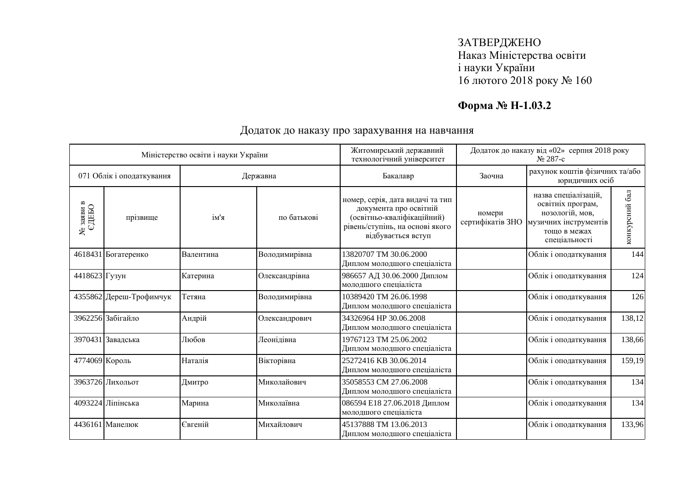## **Форма № Н-1.03.2**

|                                   |                           | Міністерство освіти і науки України |               | Житомирський державний<br>технологічний університет                                                                                               |                            | Додаток до наказу від «02» серпня 2018 року<br>№ 287-с                                                                 |                |
|-----------------------------------|---------------------------|-------------------------------------|---------------|---------------------------------------------------------------------------------------------------------------------------------------------------|----------------------------|------------------------------------------------------------------------------------------------------------------------|----------------|
|                                   | 071 Облік і оподаткування |                                     | Державна      | Бакалавр                                                                                                                                          | Заочна                     | рахунок коштів фізичних та/або<br>юридичних осіб                                                                       |                |
| $\frac{N_{\rm e}}{C_{\rm HED}}$ в | прізвище                  | ім'я                                | по батькові   | номер, серія, дата видачі та тип<br>документа про освітній<br>(освітньо-кваліфікаційний)<br>рівень/ступінь, на основі якого<br>відбувається вступ | номери<br>сертифікатів ЗНО | назва спеціалізацій,<br>освітніх програм,<br>нозологій, мов,<br>музичних інструментів<br>тощо в межах<br>спеціальності | конкурсний бал |
|                                   | 4618431 Богатеренко       | Валентина                           | Володимирівна | 13820707 TM 30.06.2000<br>Диплом молодшого спеціаліста                                                                                            |                            | Облік і оподаткування                                                                                                  | 144            |
| 4418623 Гузун                     |                           | Катерина                            | Олександрівна | 986657 АД 30.06.2000 Диплом<br>молодшого спеціаліста                                                                                              |                            | Облік і оподаткування                                                                                                  | 124            |
|                                   | 4355862 Дереш-Трофимчук   | Тетяна                              | Володимирівна | 10389420 TM 26.06.1998<br>Диплом молодшого спеціаліста                                                                                            |                            | Облік і оподаткування                                                                                                  | 126            |
|                                   | 3962256 Забігайло         | Андрій                              | Олександрович | 34326964 HP 30.06.2008<br>Диплом молодшого спеціаліста                                                                                            |                            | Облік і оподаткування                                                                                                  | 138,12         |
|                                   | 3970431 Завадська         | Любов                               | Леонідівна    | 19767123 TM 25.06.2002<br>Диплом молодшого спеціаліста                                                                                            |                            | Облік і оподаткування                                                                                                  | 138,66         |
| 4774069 Король                    |                           | Наталія                             | Вікторівна    | 25272416 KB 30.06.2014<br>Диплом молодшого спеціаліста                                                                                            |                            | Облік і оподаткування                                                                                                  | 159,19         |
|                                   | 3963726 Лихольот          | Дмитро                              | Миколайович   | 35058553 CM 27.06.2008<br>Диплом молодшого спеціаліста                                                                                            |                            | Облік і оподаткування                                                                                                  | 134            |
|                                   | 4093224 Ліпінська         | Марина                              | Миколаївна    | 086594 Е18 27.06.2018 Диплом<br>молодшого спеціаліста                                                                                             |                            | Облік і оподаткування                                                                                                  | 134            |
|                                   | 4436161 Манелюк           | Євгеній                             | Михайлович    | 45137888 TM 13.06.2013<br>Диплом молодшого спеціаліста                                                                                            |                            | Облік і оподаткування                                                                                                  | 133,96         |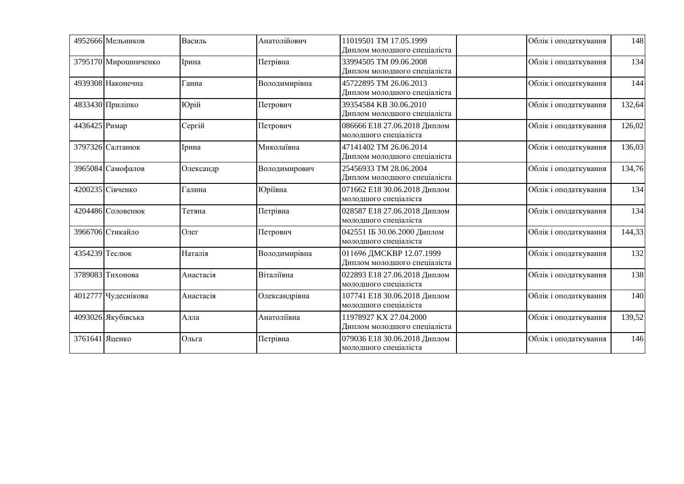|                | 4952666 Мельников    | Василь    | Анатолійович  | 11019501 TM 17.05.1999<br>Диплом молодшого спеціаліста   | Облік і оподаткування | 148    |
|----------------|----------------------|-----------|---------------|----------------------------------------------------------|-----------------------|--------|
|                | 3795170 Мирошниченко | Ірина     | Петрівна      | 33994505 TM 09.06.2008<br>Диплом молодшого спеціаліста   | Облік і оподаткування | 134    |
|                | 4939308 Наконечна    | Ганна     | Володимирівна | 45722895 TM 26.06.2013<br>Диплом молодшого спеціаліста   | Облік і оподаткування | 144    |
|                | 4833430 Приліпко     | Юрій      | Петрович      | 39354584 KB 30.06.2010<br>Диплом молодшого спеціаліста   | Облік і оподаткування | 132,64 |
| 4436425 Римар  |                      | Сергій    | Петрович      | 086666 Е18 27.06.2018 Диплом<br>молодшого спеціаліста    | Облік і оподаткування | 126,02 |
|                | 3797326 Салтанюк     | Ірина     | Миколаївна    | 47141402 TM 26.06.2014<br>Диплом молодшого спеціаліста   | Облік і оподаткування | 136,03 |
|                | 3965084 Самофалов    | Олександр | Володимирович | 25456933 TM 28.06.2004<br>Диплом молодшого спеціаліста   | Облік і оподаткування | 134,76 |
|                | 4200235 Сівченко     | Галина    | Юріївна       | 071662 Е18 30.06.2018 Диплом<br>молодшого спеціаліста    | Облік і оподаткування | 134    |
|                | 4204486 Соловенюк    | Тетяна    | Петрівна      | 028587 Е18 27.06.2018 Диплом<br>молодшого спеціаліста    | Облік і оподаткування | 134    |
|                | 3966706 Стикайло     | Олег      | Петрович      | 042551 IБ 30.06.2000 Диплом<br>молодшого спеціаліста     | Облік і оподаткування | 144,33 |
| 4354239 Теслюк |                      | Наталія   | Володимирівна | 011696 ДМСКВР 12.07.1999<br>Диплом молодшого спеціаліста | Облік і оподаткування | 132    |
|                | 3789083 Тихонова     | Анастасія | Віталіївна    | 022893 E18 27.06.2018 Диплом<br>молодшого спеціаліста    | Облік і оподаткування | 138    |
|                | 4012777 Чудеснікова  | Анастасія | Олександрівна | 107741 Е18 30.06.2018 Диплом<br>молодшого спеціаліста    | Облік і оподаткування | 140    |
|                | 4093026 Якубівська   | Алла      | Анатоліївна   | 11978927 KX 27.04.2000<br>Диплом молодшого спеціаліста   | Облік і оподаткування | 139,52 |
| 3761641 Яценко |                      | Ольга     | Петрівна      | 079036 Е18 30.06.2018 Диплом<br>молодшого спеціаліста    | Облік і оподаткування | 146    |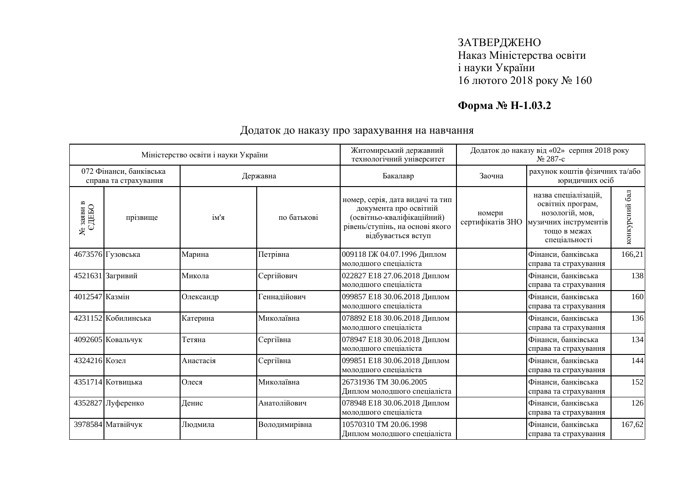## **Форма № Н-1.03.2**

|                                                    |                                     | Міністерство освіти і науки України |                                       | Житомирський державний                                                                                                                            |                                            | Додаток до наказу від «02» серпня 2018 року                                                                                              |                |
|----------------------------------------------------|-------------------------------------|-------------------------------------|---------------------------------------|---------------------------------------------------------------------------------------------------------------------------------------------------|--------------------------------------------|------------------------------------------------------------------------------------------------------------------------------------------|----------------|
|                                                    | 072 Фінанси, банківська<br>Державна |                                     | технологічний університет<br>Бакалавр | Заочна                                                                                                                                            | No 287-c<br>рахунок коштів фізичних та/або |                                                                                                                                          |                |
| $\frac{\text{Ne}\xspace}{\text{SABB}}$ в ед<br>ЕБО | справа та страхування<br>прізвище   | ім'я                                | по батькові                           | номер, серія, дата видачі та тип<br>документа про освітній<br>(освітньо-кваліфікаційний)<br>рівень/ступінь, на основі якого<br>відбувається вступ | номери<br>сертифікатів ЗНО                 | юридичних осіб<br>назва спеціалізацій,<br>освітніх програм,<br>нозологій, мов,<br>музичних інструментів<br>тощо в межах<br>спеціальності | конкурсний бал |
|                                                    | 4673576 Гузовська                   | Марина                              | Петрівна                              | 009118 IЖ 04.07.1996 Диплом<br>молодшого спеціаліста                                                                                              |                                            | Фінанси, банківська<br>справа та страхування                                                                                             | 166,21         |
|                                                    | 4521631 Загривий                    | Микола                              | Сергійович                            | 022827 Е18 27.06.2018 Диплом<br>молодшого спеціаліста                                                                                             |                                            | Фінанси, банківська<br>справа та страхування                                                                                             | 138            |
| 4012547 Казмін                                     |                                     | Олександр                           | Геннадійович                          | 099857 Е18 30.06.2018 Диплом<br>молодшого спеціаліста                                                                                             |                                            | Фінанси, банківська<br>справа та страхування                                                                                             | 160            |
|                                                    | 4231152 Кобилинська                 | Катерина                            | Миколаївна                            | 078892 Е18 30.06.2018 Диплом<br>молодшого спеціаліста                                                                                             |                                            | Фінанси, банківська<br>справа та страхування                                                                                             | 136            |
|                                                    | 4092605 Ковальчук                   | Тетяна                              | Сергіївна                             | 078947 Е18 30.06.2018 Диплом<br>молодшого спеціаліста                                                                                             |                                            | Фінанси, банківська<br>справа та страхування                                                                                             | 134            |
| 4324216 Козел                                      |                                     | Анастасія                           | Сергіївна                             | 099851 Е18 30.06.2018 Диплом<br>молодшого спеціаліста                                                                                             |                                            | Фінанси, банківська<br>справа та страхування                                                                                             | 144            |
|                                                    | 4351714 Котвицька                   | Олеся                               | Миколаївна                            | 26731936 TM 30.06.2005<br>Диплом молодшого спеціаліста                                                                                            |                                            | Фінанси, банківська<br>справа та страхування                                                                                             | 152            |
|                                                    | 4352827 Луференко                   | Денис                               | Анатолійович                          | 078948 Е18 30.06.2018 Диплом<br>молодшого спеціаліста                                                                                             |                                            | Фінанси, банківська<br>справа та страхування                                                                                             | 126            |
|                                                    | 3978584 Матвійчук                   | Людмила                             | Володимирівна                         | 10570310 TM 20.06.1998<br>Диплом молодшого спеціаліста                                                                                            |                                            | Фінанси, банківська<br>справа та страхування                                                                                             | 167,62         |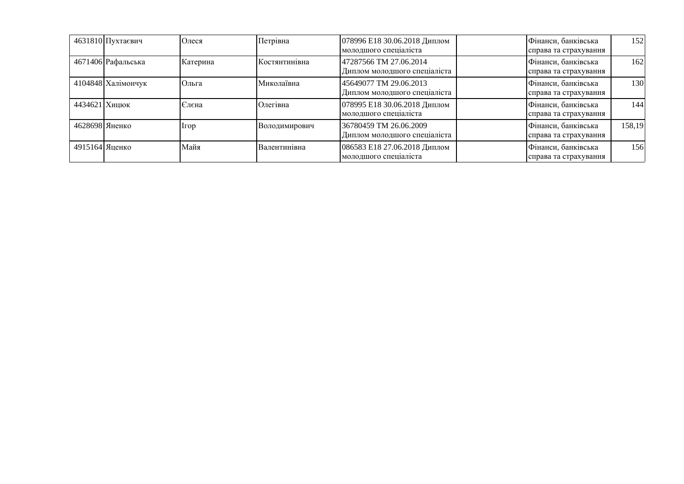|                | 4631810 Пухтаєвич  | Олеся    | Петрівна             | 078996 Е18 30.06.2018 Диплом<br>молодшого спеціаліста  | Фінанси, банківська<br>справа та страхування | 152    |
|----------------|--------------------|----------|----------------------|--------------------------------------------------------|----------------------------------------------|--------|
|                | 4671406 Рафальська | Катерина | Костянтинівна        | 47287566 TM 27.06.2014<br>Диплом молодшого спеціаліста | Фінанси, банківська<br>справа та страхування | 162    |
|                | 4104848 Халімончук | Ольга    | Миколаївна           | 45649077 TM 29.06.2013<br>Диплом молодшого спеціаліста | Фінанси, банківська<br>справа та страхування | 130    |
| 4434621 Хицюк  |                    | Єлєна    | Олегівна             | 078995 Е18 30.06.2018 Диплом<br>молодшого спеціаліста  | Фінанси, банківська<br>справа та страхування | 144    |
| 4628698 Яненко |                    | Irop     | <b>Володимирович</b> | 36780459 TM 26.06.2009<br>Диплом молодшого спеціаліста | Фінанси, банківська<br>справа та страхування | 158,19 |
| 4915164 Яценко |                    | Майя     | Валентинівна         | 086583 Е18 27.06.2018 Диплом<br>молодшого специалиста  | Фінанси, банківська<br>справа та страхування | 156    |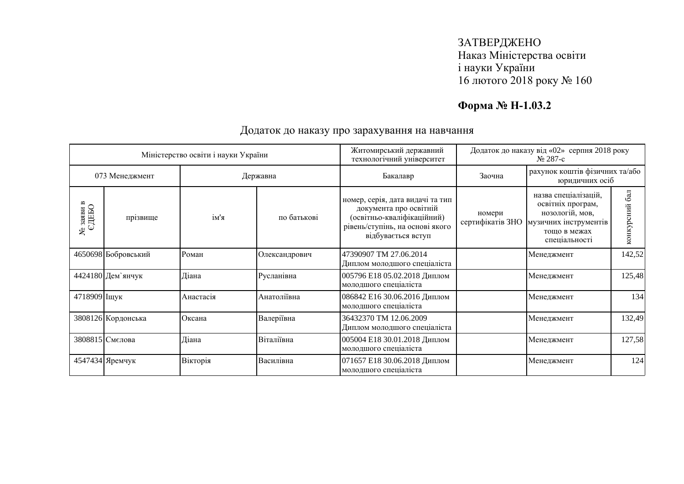## **Форма № Н-1.03.2**

|                            | Додаток до наказу від «02» серпня 2018 року<br>Житомирський державний<br>Міністерство освіти і науки України<br>технологічний університет<br>$N2$ 287-c |           |               |                                                                                                                                                   |                            |                                                                                                                        |                   |
|----------------------------|---------------------------------------------------------------------------------------------------------------------------------------------------------|-----------|---------------|---------------------------------------------------------------------------------------------------------------------------------------------------|----------------------------|------------------------------------------------------------------------------------------------------------------------|-------------------|
| 073 Менеджмент<br>Державна |                                                                                                                                                         | Бакалавр  | Заочна        | рахунок коштів фізичних та/або<br>юридичних осіб                                                                                                  |                            |                                                                                                                        |                   |
| © заяви в<br>СДЕБО<br>ຌ    | прізвище                                                                                                                                                | ім'я      | по батькові   | номер, серія, дата видачі та тип<br>документа про освітній<br>(освітньо-кваліфікаційний)<br>рівень/ступінь, на основі якого<br>відбувається вступ | номери<br>сертифікатів ЗНО | назва спеціалізацій,<br>освітніх програм,<br>нозологій, мов,<br>музичних інструментів<br>тощо в межах<br>спеціальності | бал<br>конкурсний |
|                            | 4650698 Бобровський                                                                                                                                     | Роман     | Олександрович | 47390907 TM 27.06.2014<br>Диплом молодшого спеціаліста                                                                                            |                            | Менеджмент                                                                                                             | 142,52            |
|                            | 4424180 Дем'янчук                                                                                                                                       | Діана     | Русланівна    | 005796 Е18 05.02.2018 Диплом<br>молодшого спеціаліста                                                                                             |                            | Менеджмент                                                                                                             | 125,48            |
| 4718909 Іщук               |                                                                                                                                                         | Анастасія | Анатоліївна   | 086842 Е16 30.06.2016 Диплом<br>молодшого спеціаліста                                                                                             |                            | Менеджмент                                                                                                             | 134               |
|                            | 3808126 Кордонська                                                                                                                                      | Оксана    | Валеріївна    | 36432370 TM 12.06.2009<br>Диплом молодшого спеціаліста                                                                                            |                            | Менеджмент                                                                                                             | 132,49            |
|                            | 3808815 Смелова                                                                                                                                         | Діана     | Віталіївна    | 005004 Е18 30.01.2018 Диплом<br>молодшого спеціаліста                                                                                             |                            | Менеджмент                                                                                                             | 127,58            |
|                            | 4547434 Яремчук                                                                                                                                         | Вікторія  | Василівна     | 071657 Е18 30.06.2018 Диплом<br>молодшого спеціаліста                                                                                             |                            | Менеджмент                                                                                                             | 124               |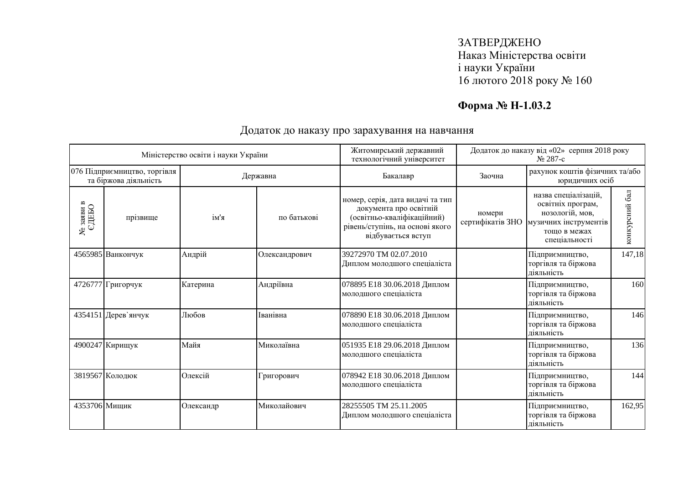## **Форма № Н-1.03.2**

|                                                    |                                                       | Міністерство освіти і науки України |               | Житомирський державний<br>технологічний університет                                                                                               |                            | Додаток до наказу від «02» серпня 2018 року<br>No 287-c                                                                |                |
|----------------------------------------------------|-------------------------------------------------------|-------------------------------------|---------------|---------------------------------------------------------------------------------------------------------------------------------------------------|----------------------------|------------------------------------------------------------------------------------------------------------------------|----------------|
|                                                    | 076 Підприємництво, торгівля<br>та біржова діяльність |                                     | Державна      | Бакалавр                                                                                                                                          | Заочна                     | рахунок коштів фізичних та/або<br>юридичних осіб                                                                       |                |
| $\frac{\text{Ne}\xspace}{\text{SABB}}$ в ед<br>ЕБО | прізвище                                              | ім'я                                | по батькові   | номер, серія, дата видачі та тип<br>документа про освітній<br>(освітньо-кваліфікаційний)<br>рівень/ступінь, на основі якого<br>відбувається вступ | номери<br>сертифікатів ЗНО | назва спеціалізацій,<br>освітніх програм,<br>нозологій, мов,<br>музичних інструментів<br>тошо в межах<br>спеціальності | конкурсний бал |
|                                                    | 4565985 Ванкончук                                     | Андрій                              | Олександрович | 39272970 TM 02.07.2010<br>Диплом молодшого спеціаліста                                                                                            |                            | Підприємництво,<br>торгівля та біржова<br>ліяльність                                                                   | 147,18         |
|                                                    | 4726777 Григорчук                                     | Катерина                            | Андріївна     | 078895 Е18 30.06.2018 Диплом<br>молодшого спеціаліста                                                                                             |                            | Підприємництво,<br>торгівля та біржова<br>ліяльність                                                                   | 160            |
|                                                    | 4354151 Дерев'янчук                                   | Любов                               | Іванівна      | 078890 Е18 30.06.2018 Диплом<br>молодшого спеціаліста                                                                                             |                            | Підприємництво,<br>торгівля та біржова<br>діяльність                                                                   | 146            |
|                                                    | 4900247 Кирищук                                       | Майя                                | Миколаївна    | 051935 Е18 29.06.2018 Диплом<br>молодшого спеціаліста                                                                                             |                            | Підприємництво,<br>торгівля та біржова<br>діяльність                                                                   | 136            |
|                                                    | 3819567 Колодюк                                       | Олексій                             | Григорович    | 078942 Е18 30.06.2018 Диплом<br>молодшого спеціаліста                                                                                             |                            | Підприємництво,<br>торгівля та біржова<br>діяльність                                                                   | 144            |
| 4353706 Мищик                                      |                                                       | Олександр                           | Миколайович   | 28255505 TM 25.11.2005<br>Диплом молодшого спеціаліста                                                                                            |                            | Підприємництво,<br>торгівля та біржова<br>діяльність                                                                   | 162,95         |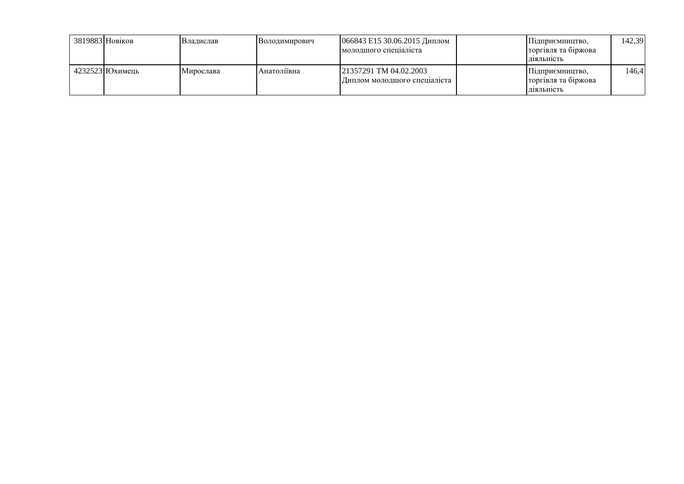| 3819883 Новіков    | Владислав | <b>Володимирович</b> | 066843 Е15 30.06.2015 Диплом<br>молодшого специалиста  | Плиприємництво.<br>торгівля та біржова<br>ліяльність | 142,39 |
|--------------------|-----------|----------------------|--------------------------------------------------------|------------------------------------------------------|--------|
| $4232523$ IЮхимень | Мирослава | Анатоліївна          | 21357291 TM 04.02.2003<br>Диплом молодшого спеціаліста | Підприємництво,<br>торгівля та біржова<br>Д1ЯЛЬН1СТЬ | 146.41 |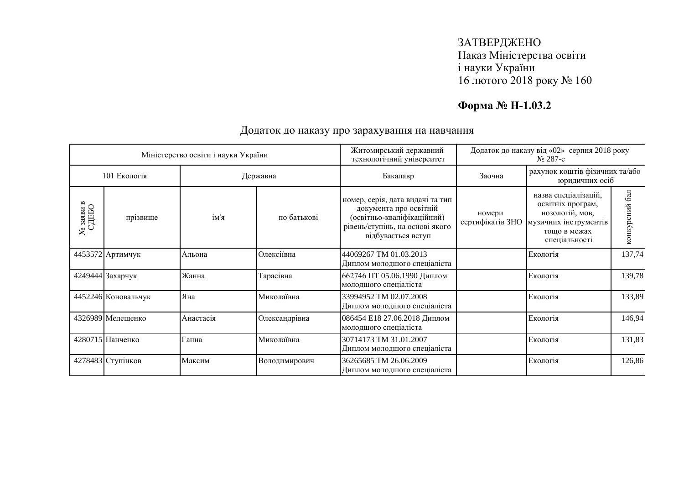## **Форма № Н-1.03.2**

| Житомирський державний<br>Міністерство освіти і науки України<br>технологічний університет |                     |           | Додаток до наказу від «02» серпня 2018 року<br>$N_2$ 287-c |                                                                                                                                                   |                                                  |                                                                                                                        |                      |
|--------------------------------------------------------------------------------------------|---------------------|-----------|------------------------------------------------------------|---------------------------------------------------------------------------------------------------------------------------------------------------|--------------------------------------------------|------------------------------------------------------------------------------------------------------------------------|----------------------|
| 101 Екологія<br>Державна                                                                   |                     |           | Бакалавр                                                   | Заочна                                                                                                                                            | рахунок коштів фізичних та/або<br>юридичних осіб |                                                                                                                        |                      |
| $\frac{\text{Ne}\xspace}{\text{SABB}}$ в СДЕБО                                             | прізвище            | ім'я      | по батькові                                                | номер, серія, дата видачі та тип<br>документа про освітній<br>(освітньо-кваліфікаційний)<br>рівень/ступінь, на основі якого<br>відбувається вступ | номери<br>сертифікатів ЗНО                       | назва спеціалізацій,<br>освітніх програм,<br>нозологій, мов,<br>музичних інструментів<br>тощо в межах<br>спеціальності | $6a$ л<br>конкурсний |
|                                                                                            | 4453572 Артимчук    | Альона    | Олексіївна                                                 | 44069267 TM 01.03.2013<br>Диплом молодшого спеціаліста                                                                                            |                                                  | Екологія                                                                                                               | 137,74               |
|                                                                                            | 4249444 Захарчук    | Жанна     | Тарасівна                                                  | 662746 ПТ 05.06.1990 Диплом<br>молодшого спеціаліста                                                                                              |                                                  | Екологія                                                                                                               | 139,78               |
|                                                                                            | 4452246 Коновальчук | Яна       | Миколаївна                                                 | 33994952 TM 02.07.2008<br>Диплом молодшого спеціаліста                                                                                            |                                                  | Екологія                                                                                                               | 133,89               |
|                                                                                            | 4326989 Мелещенко   | Анастасія | Олександрівна                                              | 086454 Е18 27.06.2018 Диплом<br>молодшого спеціаліста                                                                                             |                                                  | Екологія                                                                                                               | 146,94               |
|                                                                                            | 4280715 Панченко    | Ганна     | Миколаївна                                                 | 30714173 TM 31.01.2007<br>Диплом молодшого спеціаліста                                                                                            |                                                  | Екологія                                                                                                               | 131,83               |
|                                                                                            | 4278483 Ступінков   | Максим    | Володимирович                                              | 36265685 TM 26.06.2009<br>Диплом молодшого спеціаліста                                                                                            |                                                  | Екологія                                                                                                               | 126,86               |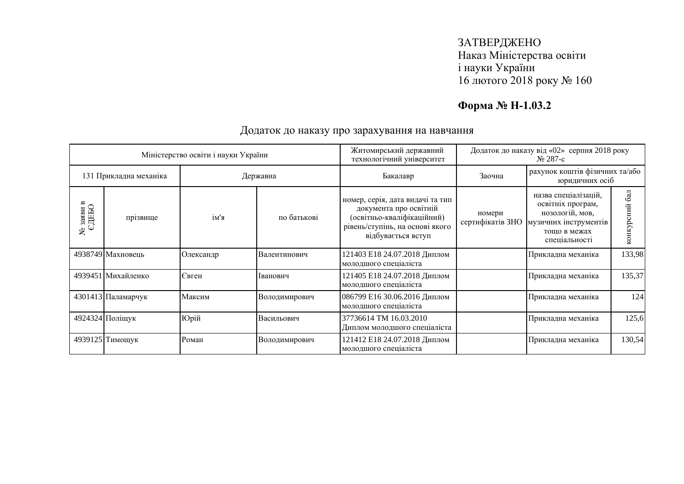## **Форма № Н-1.03.2**

|                                    | Додаток до наказу від «02» серпня 2018 року<br>Житомирський державний<br>Міністерство освіти і науки України<br>технологічний університет |           |               | No 287-c                                                                                                                                          |                            |                                                                                                                        |                  |
|------------------------------------|-------------------------------------------------------------------------------------------------------------------------------------------|-----------|---------------|---------------------------------------------------------------------------------------------------------------------------------------------------|----------------------------|------------------------------------------------------------------------------------------------------------------------|------------------|
| 131 Прикладна механіка<br>Державна |                                                                                                                                           | Бакалавр  | Заочна        | рахунок коштів фізичних та/або<br>юридичних осіб                                                                                                  |                            |                                                                                                                        |                  |
| © заяви в<br>€ДЕБО<br>కి           | прізвище                                                                                                                                  | ім'я      | по батькові   | номер, серія, дата видачі та тип<br>документа про освітній<br>(освітньо-кваліфікаційний)<br>рівень/ступінь, на основі якого<br>відбувається вступ | номери<br>сертифікатів ЗНО | назва спеціалізацій,<br>освітніх програм,<br>нозологій, мов,<br>музичних інструментів<br>тощо в межах<br>спеціальності | 6a<br>конкурсний |
|                                    | 4938749 Махновець                                                                                                                         | Олександр | Валентинович  | 121403 Е18 24.07.2018 Диплом<br>молодшого спеціаліста                                                                                             |                            | Прикладна механіка                                                                                                     | 133,98           |
|                                    | 4939451 Михайленко                                                                                                                        | Євген     | Іванович      | 121405 Е18 24.07.2018 Диплом<br>молодшого спеціаліста                                                                                             |                            | Прикладна механіка                                                                                                     | 135,37           |
|                                    | 4301413 Паламарчук                                                                                                                        | Максим    | Володимирович | 086799 Е16 30.06.2016 Диплом<br>молодшого спеціаліста                                                                                             |                            | Прикладна механіка                                                                                                     | 124              |
|                                    | 4924324 Поліщук                                                                                                                           | Юрій      | Васильович    | 37736614 TM 16.03.2010<br>Диплом молодшого спеціаліста                                                                                            |                            | Прикладна механіка                                                                                                     | 125,6            |
|                                    | 4939125 Тимощук                                                                                                                           | Роман     | Володимирович | 121412 Е18 24.07.2018 Диплом<br>молодшого спеціаліста                                                                                             |                            | Прикладна механіка                                                                                                     | 130,54           |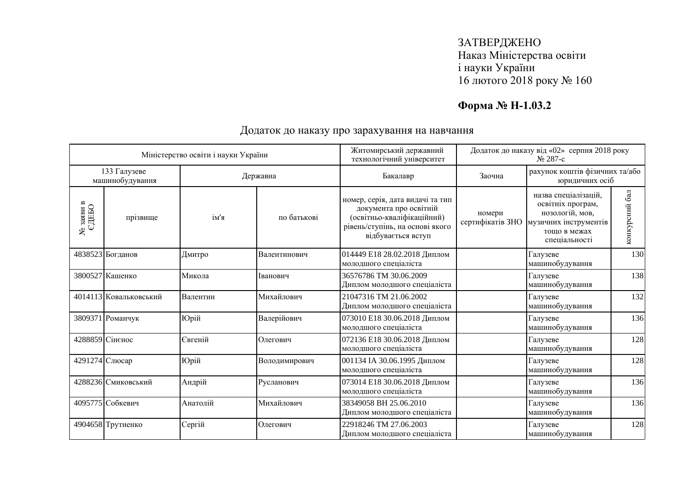## **Форма № Н-1.03.2**

|                                                        |                        | Міністерство освіти і науки України |               | Житомирський державний<br>технологічний університет                                                                                               |                            | Додаток до наказу від «02» серпня 2018 року<br>No 287-c                                                                |                |
|--------------------------------------------------------|------------------------|-------------------------------------|---------------|---------------------------------------------------------------------------------------------------------------------------------------------------|----------------------------|------------------------------------------------------------------------------------------------------------------------|----------------|
| 133 Галузеве<br>Державна<br>машинобудування            |                        | Бакалавр                            | Заочна        | рахунок коштів фізичних та/або<br>юридичних осіб                                                                                                  |                            |                                                                                                                        |                |
| $\frac{\text{Ne}\xspace}{\text{S4ABH}\xspace}$ в СДЕБО | прізвище               | ім'я                                | по батькові   | номер, серія, дата видачі та тип<br>документа про освітній<br>(освітньо-кваліфікаційний)<br>рівень/ступінь, на основі якого<br>відбувається вступ | номери<br>сертифікатів ЗНО | назва спеціалізацій,<br>освітніх програм,<br>нозологій, мов,<br>музичних інструментів<br>тошо в межах<br>спеціальності | конкурсний бал |
|                                                        | 4838523 Богданов       | Дмитро                              | Валентинович  | 014449 Е18 28.02.2018 Диплом<br>молодшого спеціаліста                                                                                             |                            | Галузеве<br>машинобудування                                                                                            | 130            |
|                                                        | 3800527 Кашенко        | Микола                              | Іванович      | 36576786 TM 30.06.2009<br>Диплом молодшого спеціаліста                                                                                            |                            | Галузеве<br>машинобудування                                                                                            | 138            |
|                                                        | 4014113 Ковальковський | Валентин                            | Михайлович    | 21047316 TM 21.06.2002<br>Диплом молодшого спеціаліста                                                                                            |                            | Галузеве<br>машинобудування                                                                                            | 132            |
|                                                        | 3809371 Романчук       | Юрій                                | Валерійович   | 073010 Е18 30.06.2018 Диплом<br>молодшого спеціаліста                                                                                             |                            | Галузеве<br>машинобудування                                                                                            | 136            |
|                                                        | 4288859 Сінєнос        | Євгеній                             | Олегович      | 072136 Е18 30.06.2018 Диплом<br>молодшого спеціаліста                                                                                             |                            | Галузеве<br>машинобудування                                                                                            | 128            |
|                                                        | 4291274 Слюсар         | Юрій                                | Володимирович | 001134 IA 30.06.1995 Диплом<br>молодшого спеціаліста                                                                                              |                            | Галузеве<br>машинобудування                                                                                            | 128            |
|                                                        | 4288236 Смиковський    | Андрій                              | Русланович    | 073014 Е18 30.06.2018 Диплом<br>молодшого спеціаліста                                                                                             |                            | Галузеве<br>машинобудування                                                                                            | 136            |
|                                                        | 4095775 Собкевич       | Анатолій                            | Михайлович    | 38349058 BH 25.06.2010<br>Диплом молодшого спеціаліста                                                                                            |                            | Галузеве<br>машинобудування                                                                                            | 136            |
|                                                        | 4904658 Трутненко      | Сергій                              | Олегович      | 22918246 TM 27.06.2003<br>Диплом молодшого спеціаліста                                                                                            |                            | Галузеве<br>машинобудування                                                                                            | 128            |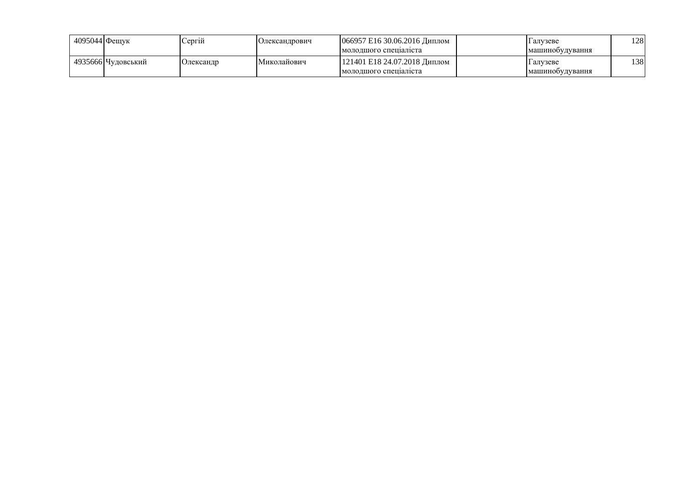| 4095044 Фешук |                    | <b>Сергій</b> | <b>Юлександрович</b> | 066957 E16 30.06.2016 Диплом<br>молодшого специаліста | 1 алvзеве<br>Імашинооудування | 128 |
|---------------|--------------------|---------------|----------------------|-------------------------------------------------------|-------------------------------|-----|
|               | 4935666 Чудовський | Олександр     | Миколайович          | 121401 Е18 24.07.2018 Диплом<br>молодшого специалиста | I алvзеве<br>машинооудування  | 138 |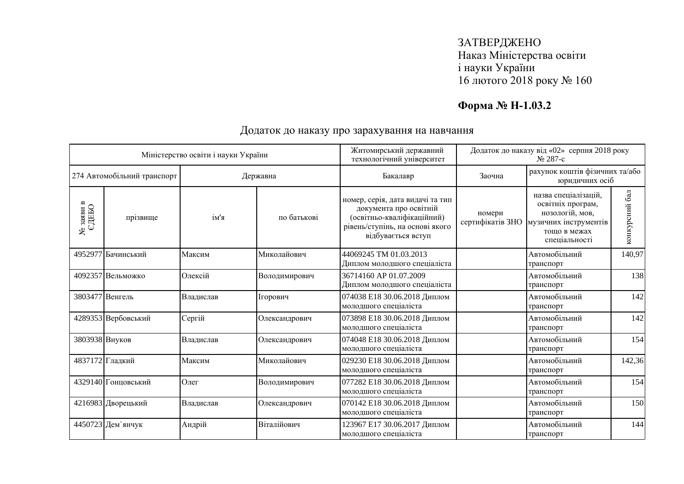## **Форма № Н-1.03.2**

|                                                 |                     | Міністерство освіти і науки України |               | Житомирський державний<br>технологічний університет                                                                                               | Додаток до наказу від «02» серпня 2018 року<br>№ 287-с |                                                                                                                        |                |
|-------------------------------------------------|---------------------|-------------------------------------|---------------|---------------------------------------------------------------------------------------------------------------------------------------------------|--------------------------------------------------------|------------------------------------------------------------------------------------------------------------------------|----------------|
| 274 Автомобільний транспорт                     |                     | Державна                            |               | Бакалавр                                                                                                                                          | Заочна                                                 | рахунок коштів фізичних та/або<br>юридичних осіб                                                                       |                |
| $\frac{\text{Ne}\xspace}{\text{SABB}}$ в е ДЕБО | прізвище            | ім'я                                | по батькові   | номер, серія, дата видачі та тип<br>документа про освітній<br>(освітньо-кваліфікаційний)<br>рівень/ступінь, на основі якого<br>відбувається вступ | номери<br>сертифікатів ЗНО                             | назва спеціалізацій,<br>освітніх програм,<br>нозологій, мов,<br>музичних інструментів<br>тощо в межах<br>спеціальності | конкурсний бал |
|                                                 | 4952977 Бачинський  | Максим                              | Миколайович   | 44069245 TM 01.03.2013<br>Диплом молодшого спеціаліста                                                                                            |                                                        | Автомобільний<br>транспорт                                                                                             | 140,97         |
|                                                 | 4092357 Вельможко   | Олексій                             | Володимирович | 36714160 AP 01.07.2009<br>Диплом молодшого спеціаліста                                                                                            |                                                        | Автомобільний<br>транспорт                                                                                             | 138            |
|                                                 | 3803477 Венгель     | Владислав                           | Ігорович      | 074038 E18 30.06.2018 Диплом<br>молодшого спеціаліста                                                                                             |                                                        | Автомобільний<br>транспорт                                                                                             | 142            |
|                                                 | 4289353 Вербовський | Сергій                              | Олександрович | 073898 Е18 30.06.2018 Диплом<br>молодшого спеціаліста                                                                                             |                                                        | Автомобільний<br>транспорт                                                                                             | 142            |
| 3803938 Внуков                                  |                     | Владислав                           | Олександрович | 074048 Е18 30.06.2018 Диплом<br>молодшого спеціаліста                                                                                             |                                                        | Автомобільний<br>транспорт                                                                                             | 154            |
|                                                 | 4837172 Гладкий     | Максим                              | Миколайович   | 029230 Е18 30.06.2018 Диплом<br>молодшого спеціаліста                                                                                             |                                                        | Автомобільний<br>транспорт                                                                                             | 142,36         |
|                                                 | 4329140 Гонцовський | Олег                                | Володимирович | 077282 Е18 30.06.2018 Диплом<br>молодшого спеціаліста                                                                                             |                                                        | Автомобільний<br>транспорт                                                                                             | 154            |
|                                                 | 4216983 Дворецький  | Владислав                           | Олександрович | 070142 Е18 30.06.2018 Диплом<br>молодшого спеціаліста                                                                                             |                                                        | Автомобільний<br>транспорт                                                                                             | 150            |
|                                                 | 4450723 Дем'янчук   | Андрій                              | Віталійович   | 123967 Е17 30.06.2017 Диплом<br>молодшого спеціаліста                                                                                             |                                                        | Автомобільний<br>транспорт                                                                                             | 144            |